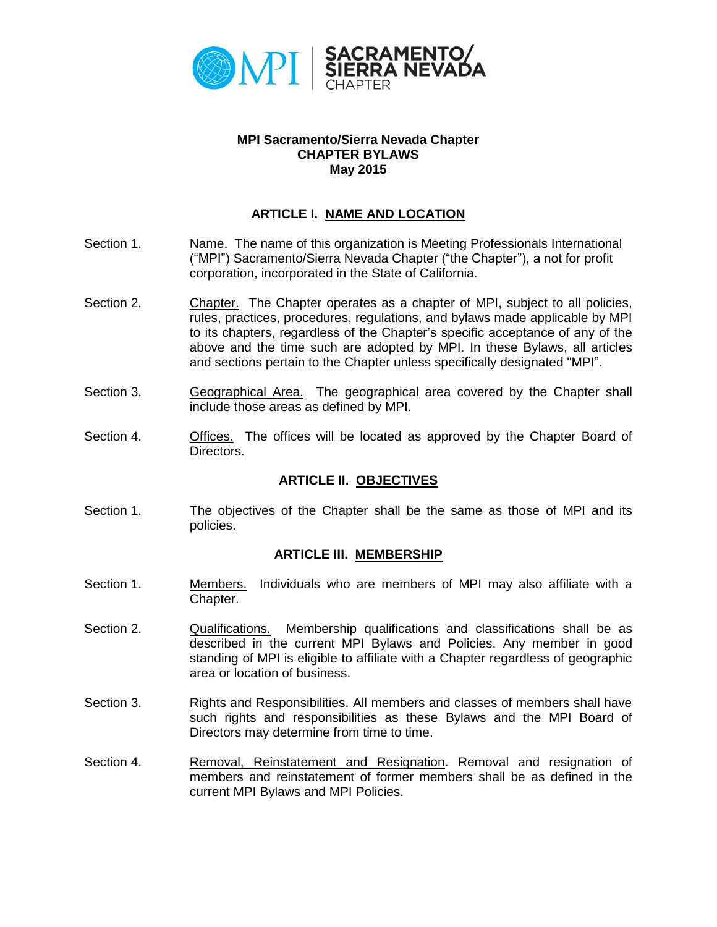

#### **MPI Sacramento/Sierra Nevada Chapter CHAPTER BYLAWS May 2015**

### **ARTICLE I. NAME AND LOCATION**

- Section 1. Name. The name of this organization is Meeting Professionals International ("MPI") Sacramento/Sierra Nevada Chapter ("the Chapter"), a not for profit corporation, incorporated in the State of California.
- Section 2. Chapter. The Chapter operates as a chapter of MPI, subject to all policies, rules, practices, procedures, regulations, and bylaws made applicable by MPI to its chapters, regardless of the Chapter's specific acceptance of any of the above and the time such are adopted by MPI. In these Bylaws, all articles and sections pertain to the Chapter unless specifically designated "MPI".
- Section 3. Geographical Area. The geographical area covered by the Chapter shall include those areas as defined by MPI.
- Section 4. **Offices.** The offices will be located as approved by the Chapter Board of Directors.

#### **ARTICLE II. OBJECTIVES**

Section 1. The objectives of the Chapter shall be the same as those of MPI and its policies.

#### **ARTICLE III. MEMBERSHIP**

- Section 1. Members. Individuals who are members of MPI may also affiliate with a Chapter.
- Section 2. Cualifications. Membership qualifications and classifications shall be as described in the current MPI Bylaws and Policies. Any member in good standing of MPI is eligible to affiliate with a Chapter regardless of geographic area or location of business.
- Section 3. Rights and Responsibilities. All members and classes of members shall have such rights and responsibilities as these Bylaws and the MPI Board of Directors may determine from time to time.
- Section 4. **Removal, Reinstatement and Resignation. Removal and resignation of** members and reinstatement of former members shall be as defined in the current MPI Bylaws and MPI Policies.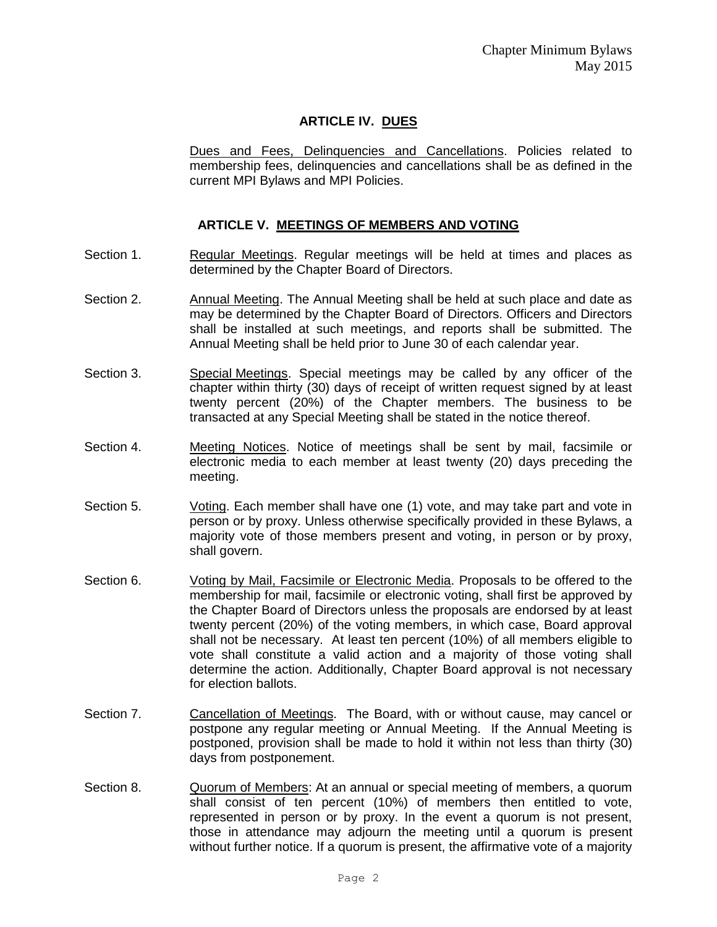# **ARTICLE IV. DUES**

Dues and Fees, Delinquencies and Cancellations. Policies related to membership fees, delinquencies and cancellations shall be as defined in the current MPI Bylaws and MPI Policies.

### **ARTICLE V. MEETINGS OF MEMBERS AND VOTING**

- Section 1. **Regular Meetings. Regular meetings will be held at times and places as** determined by the Chapter Board of Directors.
- Section 2. Annual Meeting. The Annual Meeting shall be held at such place and date as may be determined by the Chapter Board of Directors. Officers and Directors shall be installed at such meetings, and reports shall be submitted. The Annual Meeting shall be held prior to June 30 of each calendar year.
- Section 3. Special Meetings. Special meetings may be called by any officer of the chapter within thirty (30) days of receipt of written request signed by at least twenty percent (20%) of the Chapter members. The business to be transacted at any Special Meeting shall be stated in the notice thereof.
- Section 4. Meeting Notices. Notice of meetings shall be sent by mail, facsimile or electronic media to each member at least twenty (20) days preceding the meeting.
- Section 5. Voting. Each member shall have one (1) vote, and may take part and vote in person or by proxy. Unless otherwise specifically provided in these Bylaws, a majority vote of those members present and voting, in person or by proxy, shall govern.
- Section 6. Voting by Mail, Facsimile or Electronic Media. Proposals to be offered to the membership for mail, facsimile or electronic voting, shall first be approved by the Chapter Board of Directors unless the proposals are endorsed by at least twenty percent (20%) of the voting members, in which case, Board approval shall not be necessary. At least ten percent (10%) of all members eligible to vote shall constitute a valid action and a majority of those voting shall determine the action. Additionally, Chapter Board approval is not necessary for election ballots.
- Section 7. Cancellation of Meetings. The Board, with or without cause, may cancel or postpone any regular meeting or Annual Meeting. If the Annual Meeting is postponed, provision shall be made to hold it within not less than thirty (30) days from postponement.
- Section 8. Quorum of Members: At an annual or special meeting of members, a quorum shall consist of ten percent (10%) of members then entitled to vote, represented in person or by proxy. In the event a quorum is not present, those in attendance may adjourn the meeting until a quorum is present without further notice. If a quorum is present, the affirmative vote of a majority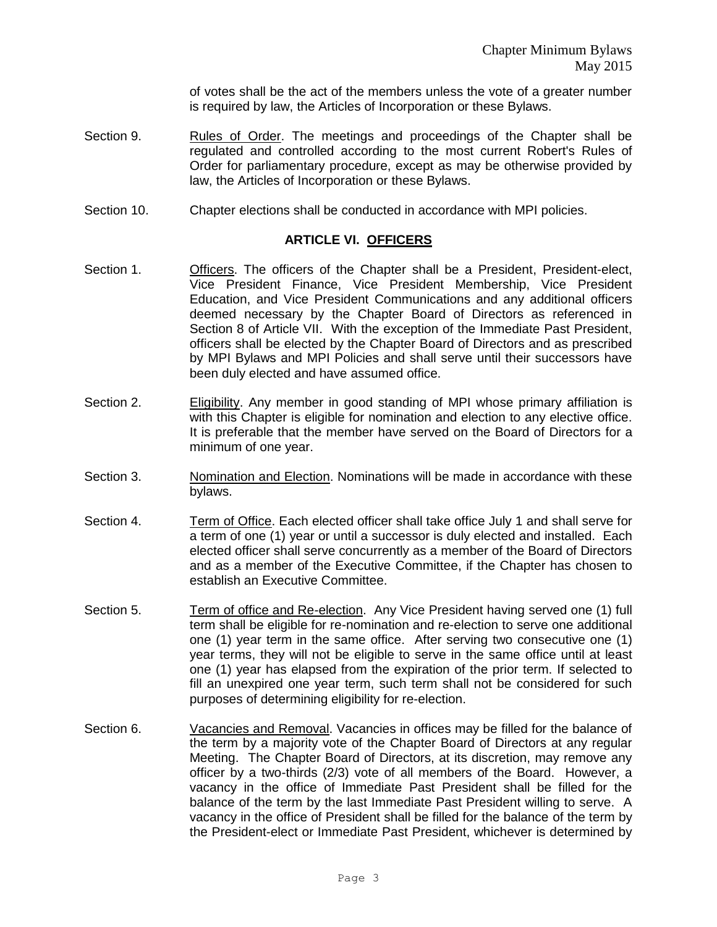of votes shall be the act of the members unless the vote of a greater number is required by law, the Articles of Incorporation or these Bylaws.

- Section 9. Rules of Order. The meetings and proceedings of the Chapter shall be regulated and controlled according to the most current Robert's Rules of Order for parliamentary procedure, except as may be otherwise provided by law, the Articles of Incorporation or these Bylaws.
- Section 10. Chapter elections shall be conducted in accordance with MPI policies.

#### **ARTICLE VI. OFFICERS**

- Section 1. **Officers.** The officers of the Chapter shall be a President, President-elect, Vice President Finance, Vice President Membership, Vice President Education, and Vice President Communications and any additional officers deemed necessary by the Chapter Board of Directors as referenced in Section 8 of Article VII. With the exception of the Immediate Past President, officers shall be elected by the Chapter Board of Directors and as prescribed by MPI Bylaws and MPI Policies and shall serve until their successors have been duly elected and have assumed office.
- Section 2. **Eligibility**. Any member in good standing of MPI whose primary affiliation is with this Chapter is eligible for nomination and election to any elective office. It is preferable that the member have served on the Board of Directors for a minimum of one year.
- Section 3. Nomination and Election. Nominations will be made in accordance with these bylaws.
- Section 4. Term of Office. Each elected officer shall take office July 1 and shall serve for a term of one (1) year or until a successor is duly elected and installed. Each elected officer shall serve concurrently as a member of the Board of Directors and as a member of the Executive Committee, if the Chapter has chosen to establish an Executive Committee.
- Section 5. Term of office and Re-election. Any Vice President having served one (1) full term shall be eligible for re-nomination and re-election to serve one additional one (1) year term in the same office. After serving two consecutive one (1) year terms, they will not be eligible to serve in the same office until at least one (1) year has elapsed from the expiration of the prior term. If selected to fill an unexpired one year term, such term shall not be considered for such purposes of determining eligibility for re-election.
- Section 6. Vacancies and Removal. Vacancies in offices may be filled for the balance of the term by a majority vote of the Chapter Board of Directors at any regular Meeting. The Chapter Board of Directors, at its discretion, may remove any officer by a two-thirds (2/3) vote of all members of the Board. However, a vacancy in the office of Immediate Past President shall be filled for the balance of the term by the last Immediate Past President willing to serve. A vacancy in the office of President shall be filled for the balance of the term by the President-elect or Immediate Past President, whichever is determined by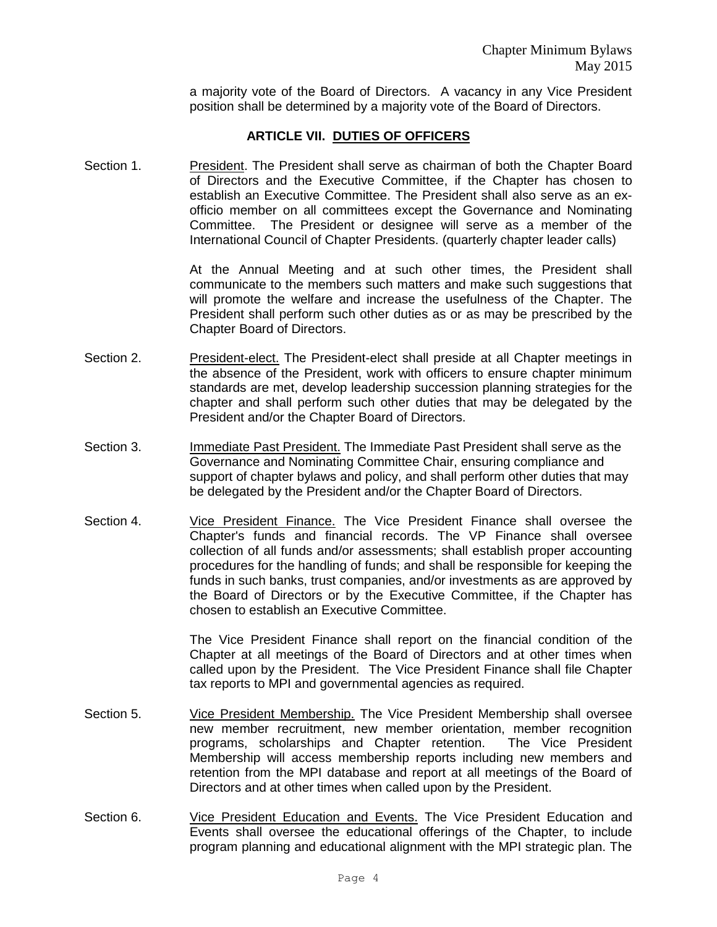a majority vote of the Board of Directors. A vacancy in any Vice President position shall be determined by a majority vote of the Board of Directors.

### **ARTICLE VII. DUTIES OF OFFICERS**

Section 1. President. The President shall serve as chairman of both the Chapter Board of Directors and the Executive Committee, if the Chapter has chosen to establish an Executive Committee. The President shall also serve as an exofficio member on all committees except the Governance and Nominating Committee. The President or designee will serve as a member of the International Council of Chapter Presidents. (quarterly chapter leader calls)

> At the Annual Meeting and at such other times, the President shall communicate to the members such matters and make such suggestions that will promote the welfare and increase the usefulness of the Chapter. The President shall perform such other duties as or as may be prescribed by the Chapter Board of Directors.

- Section 2. President-elect. The President-elect shall preside at all Chapter meetings in the absence of the President, work with officers to ensure chapter minimum standards are met, develop leadership succession planning strategies for the chapter and shall perform such other duties that may be delegated by the President and/or the Chapter Board of Directors.
- Section 3. Immediate Past President. The Immediate Past President shall serve as the Governance and Nominating Committee Chair, ensuring compliance and support of chapter bylaws and policy, and shall perform other duties that may be delegated by the President and/or the Chapter Board of Directors.
- Section 4. Vice President Finance. The Vice President Finance shall oversee the Chapter's funds and financial records. The VP Finance shall oversee collection of all funds and/or assessments; shall establish proper accounting procedures for the handling of funds; and shall be responsible for keeping the funds in such banks, trust companies, and/or investments as are approved by the Board of Directors or by the Executive Committee, if the Chapter has chosen to establish an Executive Committee.

The Vice President Finance shall report on the financial condition of the Chapter at all meetings of the Board of Directors and at other times when called upon by the President. The Vice President Finance shall file Chapter tax reports to MPI and governmental agencies as required.

- Section 5. Vice President Membership. The Vice President Membership shall oversee new member recruitment, new member orientation, member recognition programs, scholarships and Chapter retention. The Vice President Membership will access membership reports including new members and retention from the MPI database and report at all meetings of the Board of Directors and at other times when called upon by the President.
- Section 6. Vice President Education and Events. The Vice President Education and Events shall oversee the educational offerings of the Chapter, to include program planning and educational alignment with the MPI strategic plan. The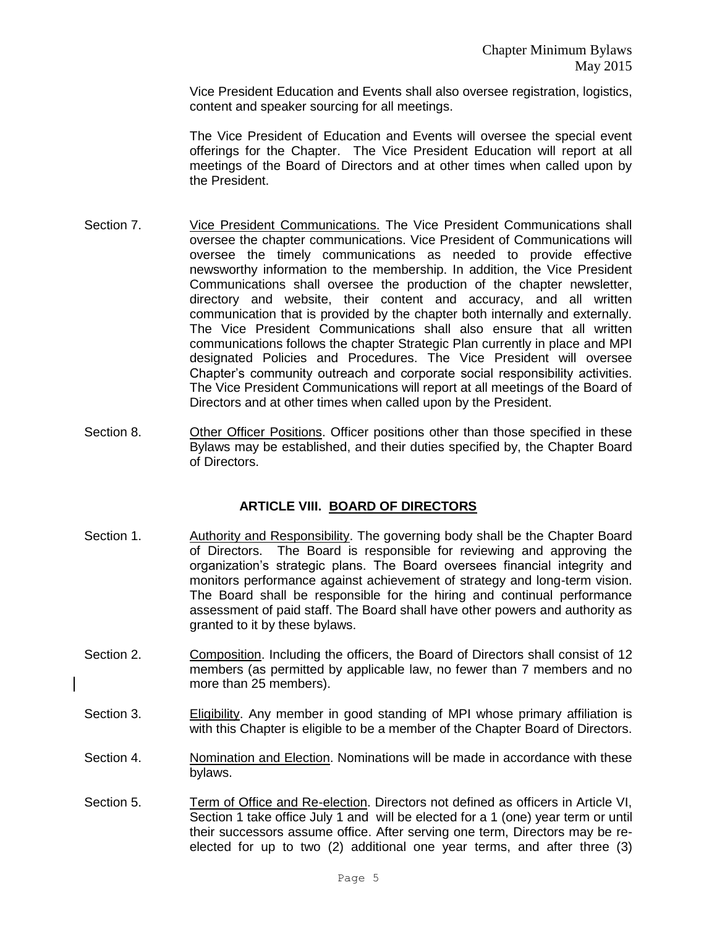Vice President Education and Events shall also oversee registration, logistics, content and speaker sourcing for all meetings.

The Vice President of Education and Events will oversee the special event offerings for the Chapter. The Vice President Education will report at all meetings of the Board of Directors and at other times when called upon by the President.

- Section 7. Vice President Communications. The Vice President Communications shall oversee the chapter communications. Vice President of Communications will oversee the timely communications as needed to provide effective newsworthy information to the membership. In addition, the Vice President Communications shall oversee the production of the chapter newsletter, directory and website, their content and accuracy, and all written communication that is provided by the chapter both internally and externally. The Vice President Communications shall also ensure that all written communications follows the chapter Strategic Plan currently in place and MPI designated Policies and Procedures. The Vice President will oversee Chapter's community outreach and corporate social responsibility activities. The Vice President Communications will report at all meetings of the Board of Directors and at other times when called upon by the President.
- Section 8. Other Officer Positions. Officer positions other than those specified in these Bylaws may be established, and their duties specified by, the Chapter Board of Directors.

# **ARTICLE VIII. BOARD OF DIRECTORS**

- Section 1. **Authority and Responsibility. The governing body shall be the Chapter Board** of Directors. The Board is responsible for reviewing and approving the organization's strategic plans. The Board oversees financial integrity and monitors performance against achievement of strategy and long-term vision. The Board shall be responsible for the hiring and continual performance assessment of paid staff. The Board shall have other powers and authority as granted to it by these bylaws.
- Section 2. Composition. Including the officers, the Board of Directors shall consist of 12 members (as permitted by applicable law, no fewer than 7 members and no more than 25 members).
- Section 3. Eligibility. Any member in good standing of MPI whose primary affiliation is with this Chapter is eligible to be a member of the Chapter Board of Directors.
- Section 4. Nomination and Election. Nominations will be made in accordance with these bylaws.
- Section 5. Term of Office and Re-election. Directors not defined as officers in Article VI, Section 1 take office July 1 and will be elected for a 1 (one) year term or until their successors assume office. After serving one term, Directors may be reelected for up to two (2) additional one year terms, and after three (3)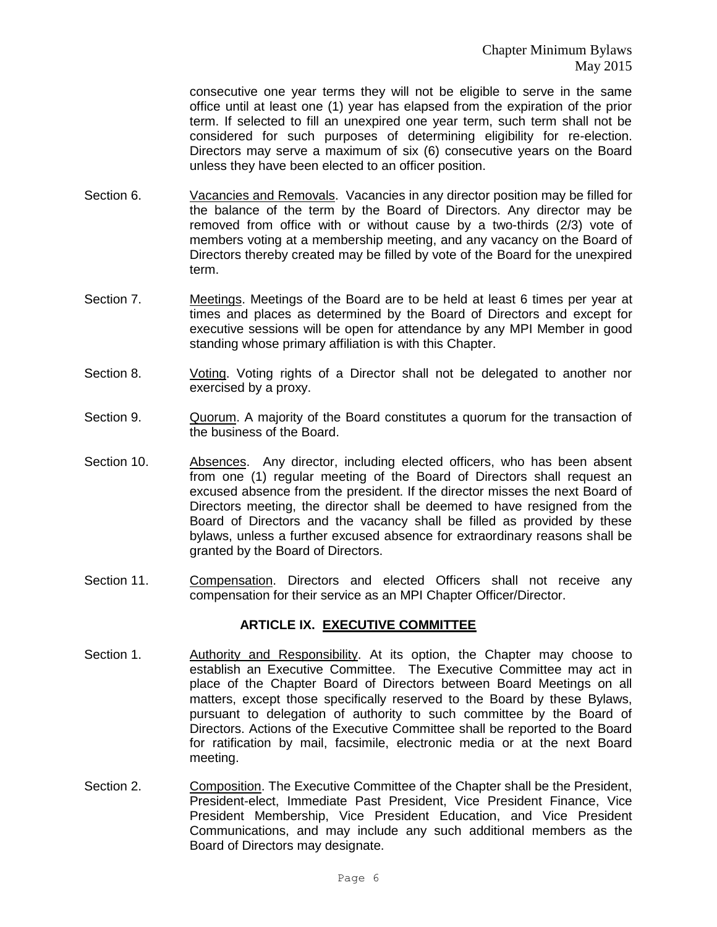consecutive one year terms they will not be eligible to serve in the same office until at least one (1) year has elapsed from the expiration of the prior term. If selected to fill an unexpired one year term, such term shall not be considered for such purposes of determining eligibility for re-election. Directors may serve a maximum of six (6) consecutive years on the Board unless they have been elected to an officer position.

- Section 6. Vacancies and Removals. Vacancies in any director position may be filled for the balance of the term by the Board of Directors. Any director may be removed from office with or without cause by a two-thirds (2/3) vote of members voting at a membership meeting, and any vacancy on the Board of Directors thereby created may be filled by vote of the Board for the unexpired term.
- Section 7. Meetings. Meetings of the Board are to be held at least 6 times per year at times and places as determined by the Board of Directors and except for executive sessions will be open for attendance by any MPI Member in good standing whose primary affiliation is with this Chapter.
- Section 8. Voting. Voting rights of a Director shall not be delegated to another nor exercised by a proxy.
- Section 9. Quorum. A majority of the Board constitutes a quorum for the transaction of the business of the Board.
- Section 10. Absences. Any director, including elected officers, who has been absent from one (1) regular meeting of the Board of Directors shall request an excused absence from the president. If the director misses the next Board of Directors meeting, the director shall be deemed to have resigned from the Board of Directors and the vacancy shall be filled as provided by these bylaws, unless a further excused absence for extraordinary reasons shall be granted by the Board of Directors.
- Section 11. Compensation. Directors and elected Officers shall not receive any compensation for their service as an MPI Chapter Officer/Director.

#### **ARTICLE IX. EXECUTIVE COMMITTEE**

- Section 1. Authority and Responsibility. At its option, the Chapter may choose to establish an Executive Committee. The Executive Committee may act in place of the Chapter Board of Directors between Board Meetings on all matters, except those specifically reserved to the Board by these Bylaws, pursuant to delegation of authority to such committee by the Board of Directors. Actions of the Executive Committee shall be reported to the Board for ratification by mail, facsimile, electronic media or at the next Board meeting.
- Section 2. Composition. The Executive Committee of the Chapter shall be the President, President-elect, Immediate Past President, Vice President Finance, Vice President Membership, Vice President Education, and Vice President Communications, and may include any such additional members as the Board of Directors may designate.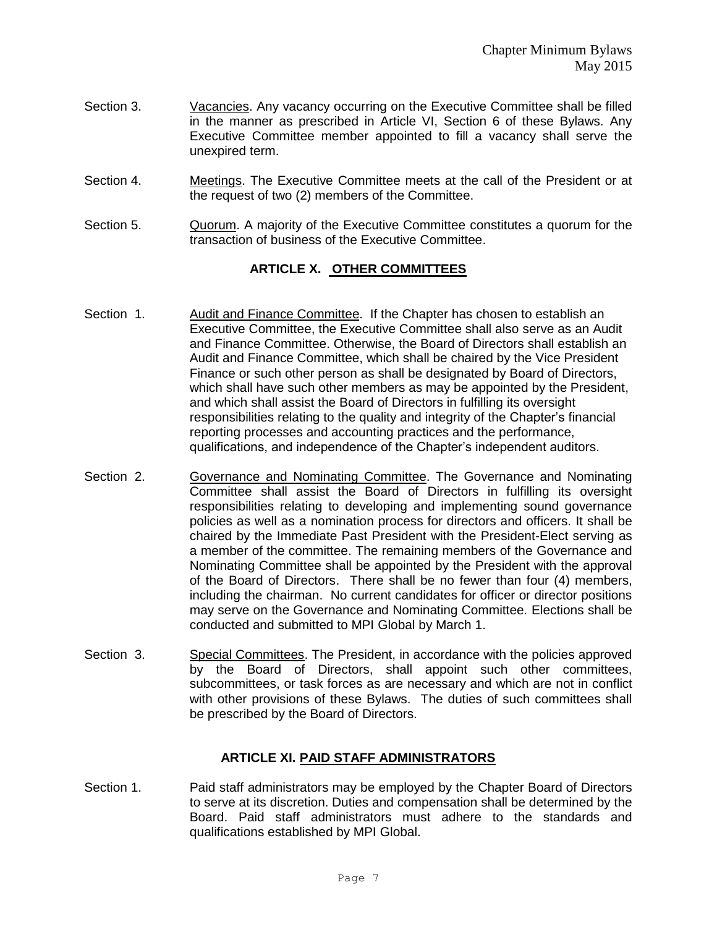- Section 3. Vacancies. Any vacancy occurring on the Executive Committee shall be filled in the manner as prescribed in Article VI, Section 6 of these Bylaws. Any Executive Committee member appointed to fill a vacancy shall serve the unexpired term.
- Section 4. Meetings. The Executive Committee meets at the call of the President or at the request of two (2) members of the Committee.
- Section 5. Quorum. A majority of the Executive Committee constitutes a quorum for the transaction of business of the Executive Committee.

# **ARTICLE X. OTHER COMMITTEES**

- Section 1. Audit and Finance Committee. If the Chapter has chosen to establish an Executive Committee, the Executive Committee shall also serve as an Audit and Finance Committee. Otherwise, the Board of Directors shall establish an Audit and Finance Committee, which shall be chaired by the Vice President Finance or such other person as shall be designated by Board of Directors, which shall have such other members as may be appointed by the President, and which shall assist the Board of Directors in fulfilling its oversight responsibilities relating to the quality and integrity of the Chapter's financial reporting processes and accounting practices and the performance, qualifications, and independence of the Chapter's independent auditors.
- Section 2. Governance and Nominating Committee. The Governance and Nominating Committee shall assist the Board of Directors in fulfilling its oversight responsibilities relating to developing and implementing sound governance policies as well as a nomination process for directors and officers. It shall be chaired by the Immediate Past President with the President-Elect serving as a member of the committee. The remaining members of the Governance and Nominating Committee shall be appointed by the President with the approval of the Board of Directors. There shall be no fewer than four (4) members, including the chairman. No current candidates for officer or director positions may serve on the Governance and Nominating Committee. Elections shall be conducted and submitted to MPI Global by March 1.
- Section 3. Special Committees. The President, in accordance with the policies approved by the Board of Directors, shall appoint such other committees, subcommittees, or task forces as are necessary and which are not in conflict with other provisions of these Bylaws. The duties of such committees shall be prescribed by the Board of Directors.

# **ARTICLE XI. PAID STAFF ADMINISTRATORS**

Section 1. Paid staff administrators may be employed by the Chapter Board of Directors to serve at its discretion. Duties and compensation shall be determined by the Board. Paid staff administrators must adhere to the standards and qualifications established by MPI Global.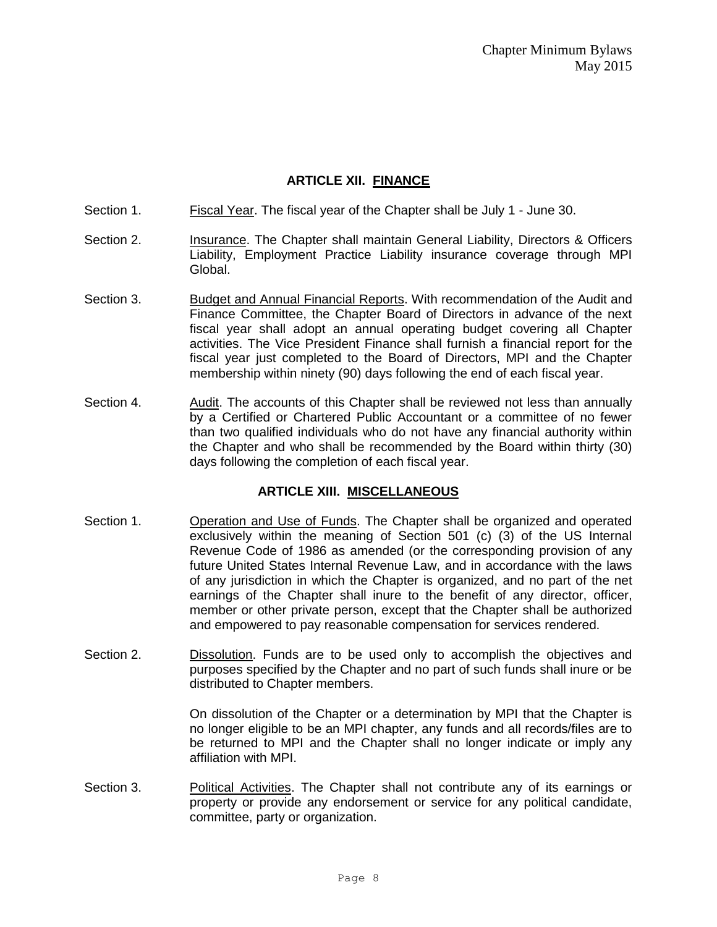# **ARTICLE XII. FINANCE**

- Section 1. Fiscal Year. The fiscal year of the Chapter shall be July 1 June 30.
- Section 2. **Insurance. The Chapter shall maintain General Liability, Directors & Officers** Liability, Employment Practice Liability insurance coverage through MPI Global.
- Section 3. Budget and Annual Financial Reports. With recommendation of the Audit and Finance Committee, the Chapter Board of Directors in advance of the next fiscal year shall adopt an annual operating budget covering all Chapter activities. The Vice President Finance shall furnish a financial report for the fiscal year just completed to the Board of Directors, MPI and the Chapter membership within ninety (90) days following the end of each fiscal year.
- Section 4. Audit. The accounts of this Chapter shall be reviewed not less than annually by a Certified or Chartered Public Accountant or a committee of no fewer than two qualified individuals who do not have any financial authority within the Chapter and who shall be recommended by the Board within thirty (30) days following the completion of each fiscal year.

# **ARTICLE XIII. MISCELLANEOUS**

- Section 1. Operation and Use of Funds. The Chapter shall be organized and operated exclusively within the meaning of Section 501 (c) (3) of the US Internal Revenue Code of 1986 as amended (or the corresponding provision of any future United States Internal Revenue Law, and in accordance with the laws of any jurisdiction in which the Chapter is organized, and no part of the net earnings of the Chapter shall inure to the benefit of any director, officer, member or other private person, except that the Chapter shall be authorized and empowered to pay reasonable compensation for services rendered.
- Section 2. Dissolution. Funds are to be used only to accomplish the objectives and purposes specified by the Chapter and no part of such funds shall inure or be distributed to Chapter members.

On dissolution of the Chapter or a determination by MPI that the Chapter is no longer eligible to be an MPI chapter, any funds and all records/files are to be returned to MPI and the Chapter shall no longer indicate or imply any affiliation with MPI.

Section 3. Political Activities. The Chapter shall not contribute any of its earnings or property or provide any endorsement or service for any political candidate, committee, party or organization.